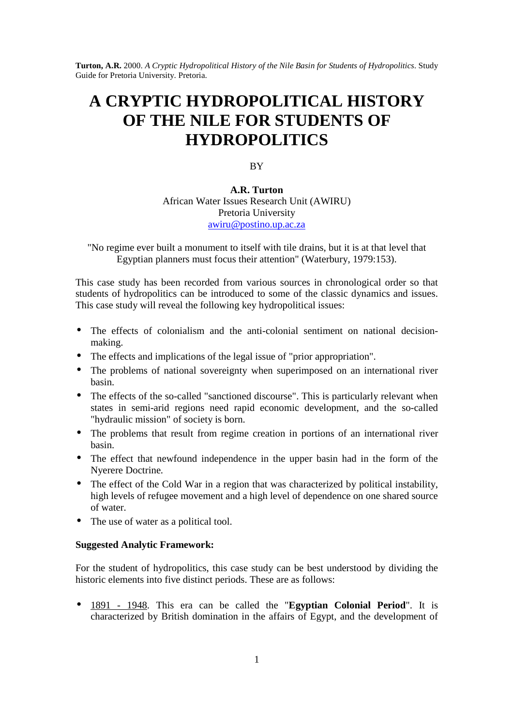# **A CRYPTIC HYDROPOLITICAL HISTORY OF THE NILE FOR STUDENTS OF HYDROPOLITICS**

BY

**A.R. Turton** African Water Issues Research Unit (AWIRU) Pretoria University awiru@postino.up.ac.za

"No regime ever built a monument to itself with tile drains, but it is at that level that Egyptian planners must focus their attention" (Waterbury, 1979:153).

This case study has been recorded from various sources in chronological order so that students of hydropolitics can be introduced to some of the classic dynamics and issues. This case study will reveal the following key hydropolitical issues:

- The effects of colonialism and the anti-colonial sentiment on national decisionmaking.
- The effects and implications of the legal issue of "prior appropriation".
- The problems of national sovereignty when superimposed on an international river basin.
- The effects of the so-called "sanctioned discourse". This is particularly relevant when states in semi-arid regions need rapid economic development, and the so-called "hydraulic mission" of society is born.
- The problems that result from regime creation in portions of an international river basin.
- The effect that newfound independence in the upper basin had in the form of the Nyerere Doctrine.
- The effect of the Cold War in a region that was characterized by political instability, high levels of refugee movement and a high level of dependence on one shared source of water.
- The use of water as a political tool.

## **Suggested Analytic Framework:**

For the student of hydropolitics, this case study can be best understood by dividing the historic elements into five distinct periods. These are as follows:

• 1891 - 1948. This era can be called the "**Egyptian Colonial Period**". It is characterized by British domination in the affairs of Egypt, and the development of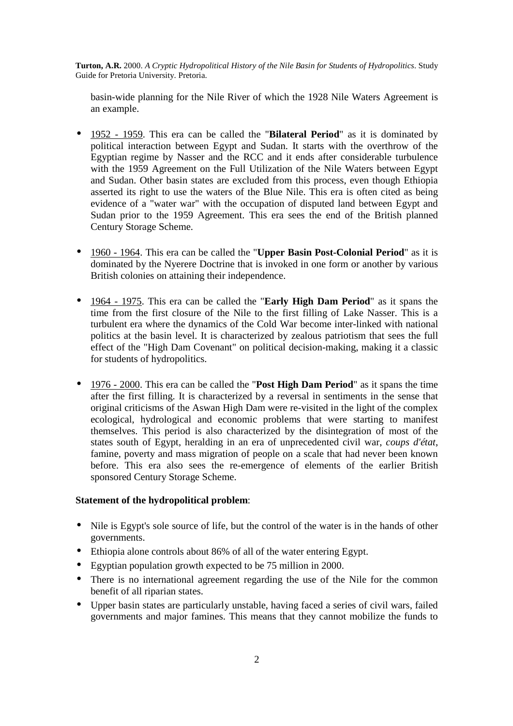basin-wide planning for the Nile River of which the 1928 Nile Waters Agreement is an example.

- 1952 1959. This era can be called the "**Bilateral Period**" as it is dominated by political interaction between Egypt and Sudan. It starts with the overthrow of the Egyptian regime by Nasser and the RCC and it ends after considerable turbulence with the 1959 Agreement on the Full Utilization of the Nile Waters between Egypt and Sudan. Other basin states are excluded from this process, even though Ethiopia asserted its right to use the waters of the Blue Nile. This era is often cited as being evidence of a "water war" with the occupation of disputed land between Egypt and Sudan prior to the 1959 Agreement. This era sees the end of the British planned Century Storage Scheme.
- 1960 1964. This era can be called the "**Upper Basin Post-Colonial Period**" as it is dominated by the Nyerere Doctrine that is invoked in one form or another by various British colonies on attaining their independence.
- 1964 1975. This era can be called the "**Early High Dam Period**" as it spans the time from the first closure of the Nile to the first filling of Lake Nasser. This is a turbulent era where the dynamics of the Cold War become inter-linked with national politics at the basin level. It is characterized by zealous patriotism that sees the full effect of the "High Dam Covenant" on political decision-making, making it a classic for students of hydropolitics.
- 1976 2000. This era can be called the "**Post High Dam Period**" as it spans the time after the first filling. It is characterized by a reversal in sentiments in the sense that original criticisms of the Aswan High Dam were re-visited in the light of the complex ecological, hydrological and economic problems that were starting to manifest themselves. This period is also characterized by the disintegration of most of the states south of Egypt, heralding in an era of unprecedented civil war, *coups d'état*, famine, poverty and mass migration of people on a scale that had never been known before. This era also sees the re-emergence of elements of the earlier British sponsored Century Storage Scheme.

## **Statement of the hydropolitical problem**:

- Nile is Egypt's sole source of life, but the control of the water is in the hands of other governments.
- Ethiopia alone controls about 86% of all of the water entering Egypt.
- Egyptian population growth expected to be 75 million in 2000.
- There is no international agreement regarding the use of the Nile for the common benefit of all riparian states.
- Upper basin states are particularly unstable, having faced a series of civil wars, failed governments and major famines. This means that they cannot mobilize the funds to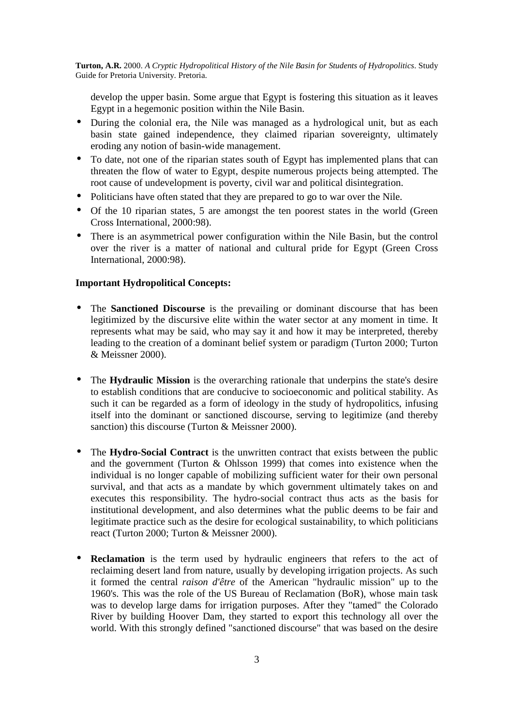develop the upper basin. Some argue that Egypt is fostering this situation as it leaves Egypt in a hegemonic position within the Nile Basin.

- During the colonial era, the Nile was managed as a hydrological unit, but as each basin state gained independence, they claimed riparian sovereignty, ultimately eroding any notion of basin-wide management.
- To date, not one of the riparian states south of Egypt has implemented plans that can threaten the flow of water to Egypt, despite numerous projects being attempted. The root cause of undevelopment is poverty, civil war and political disintegration.
- Politicians have often stated that they are prepared to go to war over the Nile.
- Of the 10 riparian states, 5 are amongst the ten poorest states in the world (Green Cross International, 2000:98).
- There is an asymmetrical power configuration within the Nile Basin, but the control over the river is a matter of national and cultural pride for Egypt (Green Cross International, 2000:98).

## **Important Hydropolitical Concepts:**

- The **Sanctioned Discourse** is the prevailing or dominant discourse that has been legitimized by the discursive elite within the water sector at any moment in time. It represents what may be said, who may say it and how it may be interpreted, thereby leading to the creation of a dominant belief system or paradigm (Turton 2000; Turton & Meissner 2000).
- The **Hydraulic Mission** is the overarching rationale that underpins the state's desire to establish conditions that are conducive to socioeconomic and political stability. As such it can be regarded as a form of ideology in the study of hydropolitics, infusing itself into the dominant or sanctioned discourse, serving to legitimize (and thereby sanction) this discourse (Turton & Meissner 2000).
- The **Hydro-Social Contract** is the unwritten contract that exists between the public and the government (Turton & Ohlsson 1999) that comes into existence when the individual is no longer capable of mobilizing sufficient water for their own personal survival, and that acts as a mandate by which government ultimately takes on and executes this responsibility. The hydro-social contract thus acts as the basis for institutional development, and also determines what the public deems to be fair and legitimate practice such as the desire for ecological sustainability, to which politicians react (Turton 2000; Turton & Meissner 2000).
- **Reclamation** is the term used by hydraulic engineers that refers to the act of reclaiming desert land from nature, usually by developing irrigation projects. As such it formed the central *raison d'être* of the American "hydraulic mission" up to the 1960's. This was the role of the US Bureau of Reclamation (BoR), whose main task was to develop large dams for irrigation purposes. After they "tamed" the Colorado River by building Hoover Dam, they started to export this technology all over the world. With this strongly defined "sanctioned discourse" that was based on the desire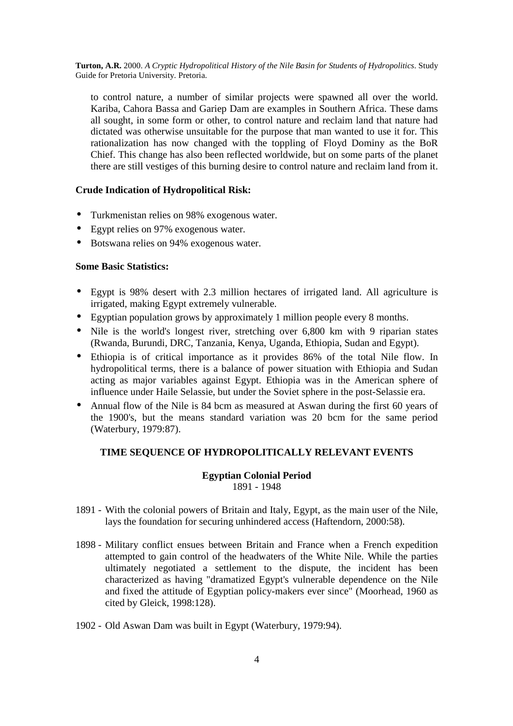to control nature, a number of similar projects were spawned all over the world. Kariba, Cahora Bassa and Gariep Dam are examples in Southern Africa. These dams all sought, in some form or other, to control nature and reclaim land that nature had dictated was otherwise unsuitable for the purpose that man wanted to use it for. This rationalization has now changed with the toppling of Floyd Dominy as the BoR Chief. This change has also been reflected worldwide, but on some parts of the planet there are still vestiges of this burning desire to control nature and reclaim land from it.

## **Crude Indication of Hydropolitical Risk:**

- Turkmenistan relies on 98% exogenous water.
- Egypt relies on 97% exogenous water.
- Botswana relies on 94% exogenous water.

## **Some Basic Statistics:**

- Egypt is 98% desert with 2.3 million hectares of irrigated land. All agriculture is irrigated, making Egypt extremely vulnerable.
- Egyptian population grows by approximately 1 million people every 8 months.
- Nile is the world's longest river, stretching over 6,800 km with 9 riparian states (Rwanda, Burundi, DRC, Tanzania, Kenya, Uganda, Ethiopia, Sudan and Egypt).
- Ethiopia is of critical importance as it provides 86% of the total Nile flow. In hydropolitical terms, there is a balance of power situation with Ethiopia and Sudan acting as major variables against Egypt. Ethiopia was in the American sphere of influence under Haile Selassie, but under the Soviet sphere in the post-Selassie era.
- Annual flow of the Nile is 84 bcm as measured at Aswan during the first 60 years of the 1900's, but the means standard variation was 20 bcm for the same period (Waterbury, 1979:87).

### **TIME SEQUENCE OF HYDROPOLITICALLY RELEVANT EVENTS**

## **Egyptian Colonial Period**  1891 - 1948

- 1891 With the colonial powers of Britain and Italy, Egypt, as the main user of the Nile, lays the foundation for securing unhindered access (Haftendorn, 2000:58).
- 1898 Military conflict ensues between Britain and France when a French expedition attempted to gain control of the headwaters of the White Nile. While the parties ultimately negotiated a settlement to the dispute, the incident has been characterized as having "dramatized Egypt's vulnerable dependence on the Nile and fixed the attitude of Egyptian policy-makers ever since" (Moorhead, 1960 as cited by Gleick, 1998:128).
- 1902 Old Aswan Dam was built in Egypt (Waterbury, 1979:94).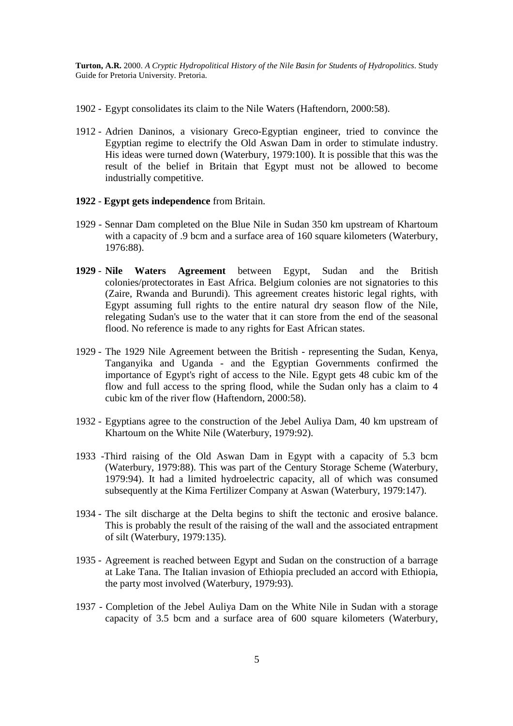- 1902 Egypt consolidates its claim to the Nile Waters (Haftendorn, 2000:58).
- 1912 Adrien Daninos, a visionary Greco-Egyptian engineer, tried to convince the Egyptian regime to electrify the Old Aswan Dam in order to stimulate industry. His ideas were turned down (Waterbury, 1979:100). It is possible that this was the result of the belief in Britain that Egypt must not be allowed to become industrially competitive.

#### **1922** - **Egypt gets independence** from Britain.

- 1929 Sennar Dam completed on the Blue Nile in Sudan 350 km upstream of Khartoum with a capacity of .9 bcm and a surface area of 160 square kilometers (Waterbury, 1976:88).
- **1929 Nile Waters Agreement** between Egypt, Sudan and the British colonies/protectorates in East Africa. Belgium colonies are not signatories to this (Zaire, Rwanda and Burundi). This agreement creates historic legal rights, with Egypt assuming full rights to the entire natural dry season flow of the Nile, relegating Sudan's use to the water that it can store from the end of the seasonal flood. No reference is made to any rights for East African states.
- 1929 The 1929 Nile Agreement between the British representing the Sudan, Kenya, Tanganyika and Uganda - and the Egyptian Governments confirmed the importance of Egypt's right of access to the Nile. Egypt gets 48 cubic km of the flow and full access to the spring flood, while the Sudan only has a claim to 4 cubic km of the river flow (Haftendorn, 2000:58).
- 1932 Egyptians agree to the construction of the Jebel Auliya Dam, 40 km upstream of Khartoum on the White Nile (Waterbury, 1979:92).
- 1933 -Third raising of the Old Aswan Dam in Egypt with a capacity of 5.3 bcm (Waterbury, 1979:88). This was part of the Century Storage Scheme (Waterbury, 1979:94). It had a limited hydroelectric capacity, all of which was consumed subsequently at the Kima Fertilizer Company at Aswan (Waterbury, 1979:147).
- 1934 The silt discharge at the Delta begins to shift the tectonic and erosive balance. This is probably the result of the raising of the wall and the associated entrapment of silt (Waterbury, 1979:135).
- 1935 Agreement is reached between Egypt and Sudan on the construction of a barrage at Lake Tana. The Italian invasion of Ethiopia precluded an accord with Ethiopia, the party most involved (Waterbury, 1979:93).
- 1937 Completion of the Jebel Auliya Dam on the White Nile in Sudan with a storage capacity of 3.5 bcm and a surface area of 600 square kilometers (Waterbury,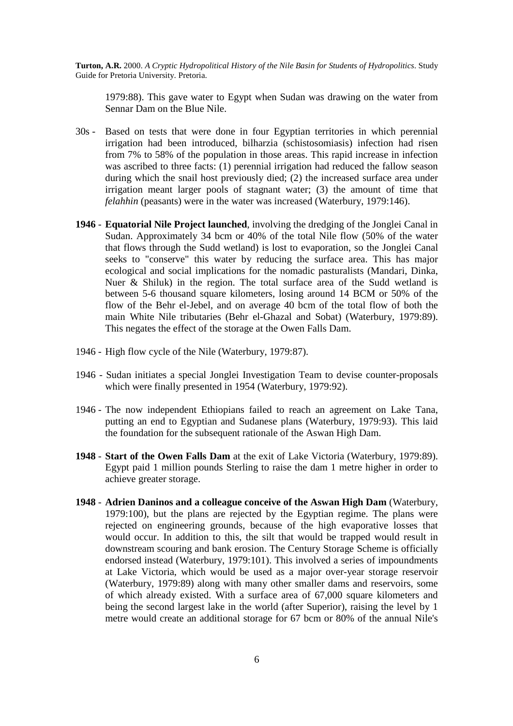1979:88). This gave water to Egypt when Sudan was drawing on the water from Sennar Dam on the Blue Nile.

- 30s Based on tests that were done in four Egyptian territories in which perennial irrigation had been introduced, bilharzia (schistosomiasis) infection had risen from 7% to 58% of the population in those areas. This rapid increase in infection was ascribed to three facts: (1) perennial irrigation had reduced the fallow season during which the snail host previously died; (2) the increased surface area under irrigation meant larger pools of stagnant water; (3) the amount of time that *felahhin* (peasants) were in the water was increased (Waterbury, 1979:146).
- **1946 Equatorial Nile Project launched**, involving the dredging of the Jonglei Canal in Sudan. Approximately 34 bcm or 40% of the total Nile flow (50% of the water that flows through the Sudd wetland) is lost to evaporation, so the Jonglei Canal seeks to "conserve" this water by reducing the surface area. This has major ecological and social implications for the nomadic pasturalists (Mandari, Dinka, Nuer & Shiluk) in the region. The total surface area of the Sudd wetland is between 5-6 thousand square kilometers, losing around 14 BCM or 50% of the flow of the Behr el-Jebel, and on average 40 bcm of the total flow of both the main White Nile tributaries (Behr el-Ghazal and Sobat) (Waterbury, 1979:89). This negates the effect of the storage at the Owen Falls Dam.
- 1946 High flow cycle of the Nile (Waterbury, 1979:87).
- 1946 Sudan initiates a special Jonglei Investigation Team to devise counter-proposals which were finally presented in 1954 (Waterbury, 1979:92).
- 1946 The now independent Ethiopians failed to reach an agreement on Lake Tana, putting an end to Egyptian and Sudanese plans (Waterbury, 1979:93). This laid the foundation for the subsequent rationale of the Aswan High Dam.
- **1948 Start of the Owen Falls Dam** at the exit of Lake Victoria (Waterbury, 1979:89). Egypt paid 1 million pounds Sterling to raise the dam 1 metre higher in order to achieve greater storage.
- **1948 Adrien Daninos and a colleague conceive of the Aswan High Dam** (Waterbury, 1979:100), but the plans are rejected by the Egyptian regime. The plans were rejected on engineering grounds, because of the high evaporative losses that would occur. In addition to this, the silt that would be trapped would result in downstream scouring and bank erosion. The Century Storage Scheme is officially endorsed instead (Waterbury, 1979:101). This involved a series of impoundments at Lake Victoria, which would be used as a major over-year storage reservoir (Waterbury, 1979:89) along with many other smaller dams and reservoirs, some of which already existed. With a surface area of 67,000 square kilometers and being the second largest lake in the world (after Superior), raising the level by 1 metre would create an additional storage for 67 bcm or 80% of the annual Nile's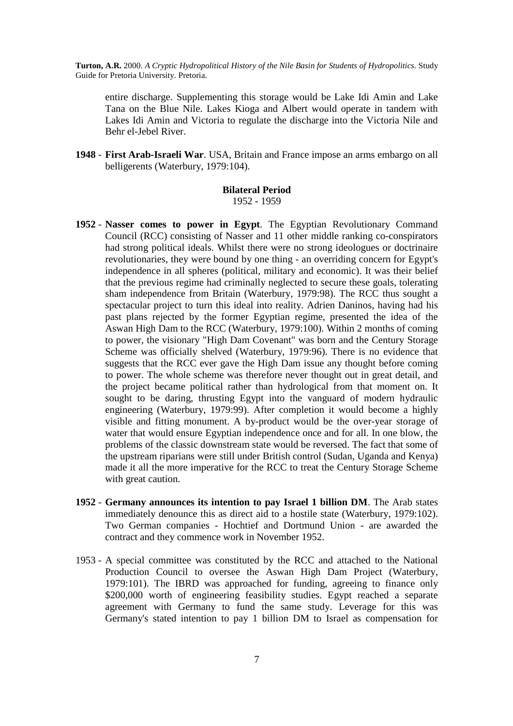entire discharge. Supplementing this storage would be Lake Idi Amin and Lake Tana on the Blue Nile. Lakes Kioga and Albert would operate in tandem with Lakes Idi Amin and Victoria to regulate the discharge into the Victoria Nile and Behr el-Jebel River.

**1948** - **First Arab-Israeli War**. USA, Britain and France impose an arms embargo on all belligerents (Waterbury, 1979:104).

## **Bilateral Period**

1952 - 1959

- **1952 Nasser comes to power in Egypt**. The Egyptian Revolutionary Command Council (RCC) consisting of Nasser and 11 other middle ranking co-conspirators had strong political ideals. Whilst there were no strong ideologues or doctrinaire revolutionaries, they were bound by one thing - an overriding concern for Egypt's independence in all spheres (political, military and economic). It was their belief that the previous regime had criminally neglected to secure these goals, tolerating sham independence from Britain (Waterbury, 1979:98). The RCC thus sought a spectacular project to turn this ideal into reality. Adrien Daninos, having had his past plans rejected by the former Egyptian regime, presented the idea of the Aswan High Dam to the RCC (Waterbury, 1979:100). Within 2 months of coming to power, the visionary "High Dam Covenant" was born and the Century Storage Scheme was officially shelved (Waterbury, 1979:96). There is no evidence that suggests that the RCC ever gave the High Dam issue any thought before coming to power. The whole scheme was therefore never thought out in great detail, and the project became political rather than hydrological from that moment on. It sought to be daring, thrusting Egypt into the vanguard of modern hydraulic engineering (Waterbury, 1979:99). After completion it would become a highly visible and fitting monument. A by-product would be the over-year storage of water that would ensure Egyptian independence once and for all. In one blow, the problems of the classic downstream state would be reversed. The fact that some of the upstream riparians were still under British control (Sudan, Uganda and Kenya) made it all the more imperative for the RCC to treat the Century Storage Scheme with great caution.
- **1952 Germany announces its intention to pay Israel 1 billion DM**. The Arab states immediately denounce this as direct aid to a hostile state (Waterbury, 1979:102). Two German companies - Hochtief and Dortmund Union - are awarded the contract and they commence work in November 1952.
- 1953 A special committee was constituted by the RCC and attached to the National Production Council to oversee the Aswan High Dam Project (Waterbury, 1979:101). The IBRD was approached for funding, agreeing to finance only \$200,000 worth of engineering feasibility studies. Egypt reached a separate agreement with Germany to fund the same study. Leverage for this was Germany's stated intention to pay 1 billion DM to Israel as compensation for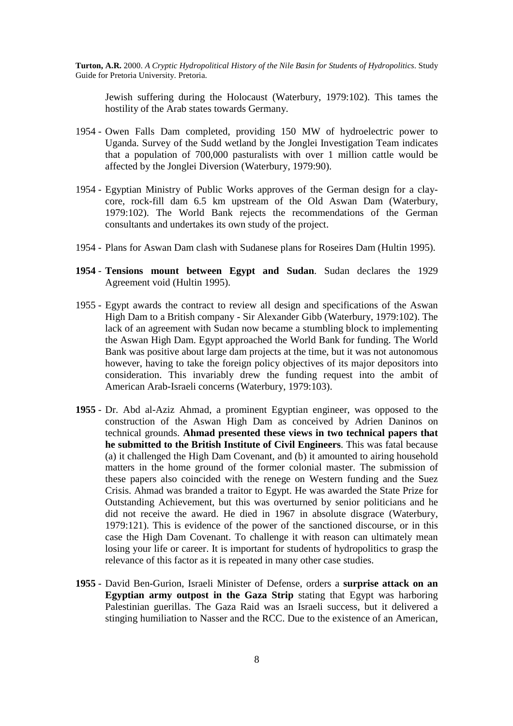Jewish suffering during the Holocaust (Waterbury, 1979:102). This tames the hostility of the Arab states towards Germany.

- 1954 Owen Falls Dam completed, providing 150 MW of hydroelectric power to Uganda. Survey of the Sudd wetland by the Jonglei Investigation Team indicates that a population of 700,000 pasturalists with over 1 million cattle would be affected by the Jonglei Diversion (Waterbury, 1979:90).
- 1954 Egyptian Ministry of Public Works approves of the German design for a claycore, rock-fill dam 6.5 km upstream of the Old Aswan Dam (Waterbury, 1979:102). The World Bank rejects the recommendations of the German consultants and undertakes its own study of the project.
- 1954 Plans for Aswan Dam clash with Sudanese plans for Roseires Dam (Hultin 1995).
- **1954 Tensions mount between Egypt and Sudan**. Sudan declares the 1929 Agreement void (Hultin 1995).
- 1955 Egypt awards the contract to review all design and specifications of the Aswan High Dam to a British company - Sir Alexander Gibb (Waterbury, 1979:102). The lack of an agreement with Sudan now became a stumbling block to implementing the Aswan High Dam. Egypt approached the World Bank for funding. The World Bank was positive about large dam projects at the time, but it was not autonomous however, having to take the foreign policy objectives of its major depositors into consideration. This invariably drew the funding request into the ambit of American Arab-Israeli concerns (Waterbury, 1979:103).
- **1955** Dr. Abd al-Aziz Ahmad, a prominent Egyptian engineer, was opposed to the construction of the Aswan High Dam as conceived by Adrien Daninos on technical grounds. **Ahmad presented these views in two technical papers that he submitted to the British Institute of Civil Engineers**. This was fatal because (a) it challenged the High Dam Covenant, and (b) it amounted to airing household matters in the home ground of the former colonial master. The submission of these papers also coincided with the renege on Western funding and the Suez Crisis. Ahmad was branded a traitor to Egypt. He was awarded the State Prize for Outstanding Achievement, but this was overturned by senior politicians and he did not receive the award. He died in 1967 in absolute disgrace (Waterbury, 1979:121). This is evidence of the power of the sanctioned discourse, or in this case the High Dam Covenant. To challenge it with reason can ultimately mean losing your life or career. It is important for students of hydropolitics to grasp the relevance of this factor as it is repeated in many other case studies.
- **1955**  David Ben-Gurion, Israeli Minister of Defense, orders a **surprise attack on an Egyptian army outpost in the Gaza Strip** stating that Egypt was harboring Palestinian guerillas. The Gaza Raid was an Israeli success, but it delivered a stinging humiliation to Nasser and the RCC. Due to the existence of an American,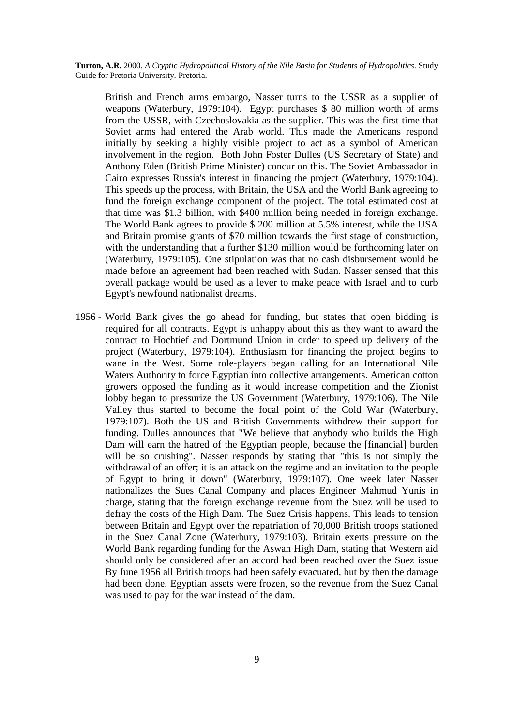British and French arms embargo, Nasser turns to the USSR as a supplier of weapons (Waterbury, 1979:104). Egypt purchases \$ 80 million worth of arms from the USSR, with Czechoslovakia as the supplier. This was the first time that Soviet arms had entered the Arab world. This made the Americans respond initially by seeking a highly visible project to act as a symbol of American involvement in the region. Both John Foster Dulles (US Secretary of State) and Anthony Eden (British Prime Minister) concur on this. The Soviet Ambassador in Cairo expresses Russia's interest in financing the project (Waterbury, 1979:104). This speeds up the process, with Britain, the USA and the World Bank agreeing to fund the foreign exchange component of the project. The total estimated cost at that time was \$1.3 billion, with \$400 million being needed in foreign exchange. The World Bank agrees to provide \$ 200 million at 5.5% interest, while the USA and Britain promise grants of \$70 million towards the first stage of construction, with the understanding that a further \$130 million would be forthcoming later on (Waterbury, 1979:105). One stipulation was that no cash disbursement would be made before an agreement had been reached with Sudan. Nasser sensed that this overall package would be used as a lever to make peace with Israel and to curb Egypt's newfound nationalist dreams.

1956 - World Bank gives the go ahead for funding, but states that open bidding is required for all contracts. Egypt is unhappy about this as they want to award the contract to Hochtief and Dortmund Union in order to speed up delivery of the project (Waterbury, 1979:104). Enthusiasm for financing the project begins to wane in the West. Some role-players began calling for an International Nile Waters Authority to force Egyptian into collective arrangements. American cotton growers opposed the funding as it would increase competition and the Zionist lobby began to pressurize the US Government (Waterbury, 1979:106). The Nile Valley thus started to become the focal point of the Cold War (Waterbury, 1979:107). Both the US and British Governments withdrew their support for funding. Dulles announces that "We believe that anybody who builds the High Dam will earn the hatred of the Egyptian people, because the [financial] burden will be so crushing". Nasser responds by stating that "this is not simply the withdrawal of an offer; it is an attack on the regime and an invitation to the people of Egypt to bring it down" (Waterbury, 1979:107). One week later Nasser nationalizes the Sues Canal Company and places Engineer Mahmud Yunis in charge, stating that the foreign exchange revenue from the Suez will be used to defray the costs of the High Dam. The Suez Crisis happens. This leads to tension between Britain and Egypt over the repatriation of 70,000 British troops stationed in the Suez Canal Zone (Waterbury, 1979:103). Britain exerts pressure on the World Bank regarding funding for the Aswan High Dam, stating that Western aid should only be considered after an accord had been reached over the Suez issue By June 1956 all British troops had been safely evacuated, but by then the damage had been done. Egyptian assets were frozen, so the revenue from the Suez Canal was used to pay for the war instead of the dam.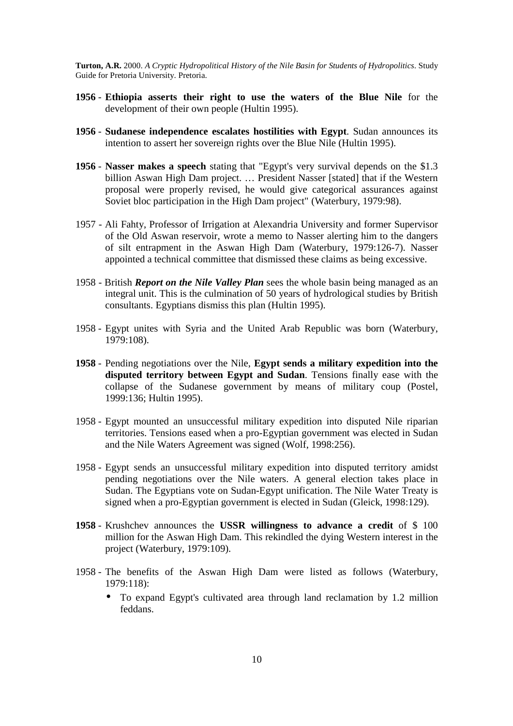- **1956 Ethiopia asserts their right to use the waters of the Blue Nile** for the development of their own people (Hultin 1995).
- **1956 Sudanese independence escalates hostilities with Egypt**. Sudan announces its intention to assert her sovereign rights over the Blue Nile (Hultin 1995).
- **1956 Nasser makes a speech** stating that "Egypt's very survival depends on the \$1.3 billion Aswan High Dam project. … President Nasser [stated] that if the Western proposal were properly revised, he would give categorical assurances against Soviet bloc participation in the High Dam project" (Waterbury, 1979:98).
- 1957 Ali Fahty, Professor of Irrigation at Alexandria University and former Supervisor of the Old Aswan reservoir, wrote a memo to Nasser alerting him to the dangers of silt entrapment in the Aswan High Dam (Waterbury, 1979:126-7). Nasser appointed a technical committee that dismissed these claims as being excessive.
- 1958 British *Report on the Nile Valley Plan* sees the whole basin being managed as an integral unit. This is the culmination of 50 years of hydrological studies by British consultants. Egyptians dismiss this plan (Hultin 1995).
- 1958 Egypt unites with Syria and the United Arab Republic was born (Waterbury, 1979:108).
- **1958** Pending negotiations over the Nile, **Egypt sends a military expedition into the disputed territory between Egypt and Sudan**. Tensions finally ease with the collapse of the Sudanese government by means of military coup (Postel, 1999:136; Hultin 1995).
- 1958 Egypt mounted an unsuccessful military expedition into disputed Nile riparian territories. Tensions eased when a pro-Egyptian government was elected in Sudan and the Nile Waters Agreement was signed (Wolf, 1998:256).
- 1958 Egypt sends an unsuccessful military expedition into disputed territory amidst pending negotiations over the Nile waters. A general election takes place in Sudan. The Egyptians vote on Sudan-Egypt unification. The Nile Water Treaty is signed when a pro-Egyptian government is elected in Sudan (Gleick, 1998:129).
- **1958** Krushchev announces the **USSR willingness to advance a credit** of \$ 100 million for the Aswan High Dam. This rekindled the dying Western interest in the project (Waterbury, 1979:109).
- 1958 The benefits of the Aswan High Dam were listed as follows (Waterbury, 1979:118):
	- To expand Egypt's cultivated area through land reclamation by 1.2 million feddans.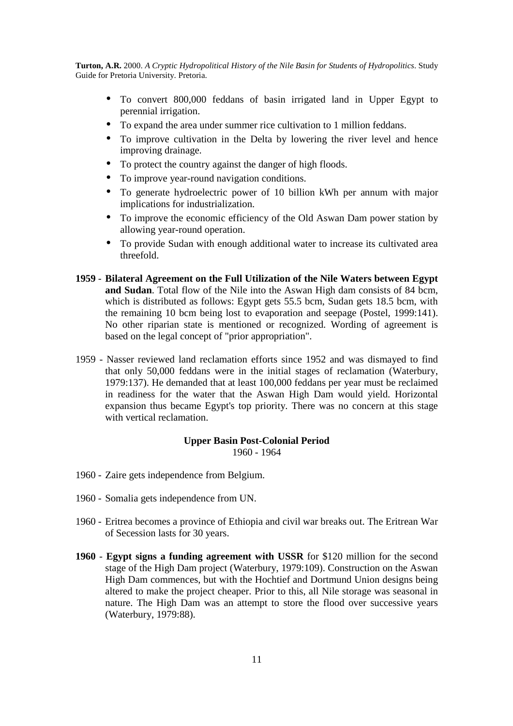- To convert 800,000 feddans of basin irrigated land in Upper Egypt to perennial irrigation.
- To expand the area under summer rice cultivation to 1 million feddans.
- To improve cultivation in the Delta by lowering the river level and hence improving drainage.
- To protect the country against the danger of high floods.
- To improve year-round navigation conditions.
- To generate hydroelectric power of 10 billion kWh per annum with major implications for industrialization.
- To improve the economic efficiency of the Old Aswan Dam power station by allowing year-round operation.
- To provide Sudan with enough additional water to increase its cultivated area threefold.
- **1959 Bilateral Agreement on the Full Utilization of the Nile Waters between Egypt**  and Sudan. Total flow of the Nile into the Aswan High dam consists of 84 bcm, which is distributed as follows: Egypt gets 55.5 bcm, Sudan gets 18.5 bcm, with the remaining 10 bcm being lost to evaporation and seepage (Postel, 1999:141). No other riparian state is mentioned or recognized. Wording of agreement is based on the legal concept of "prior appropriation".
- 1959 Nasser reviewed land reclamation efforts since 1952 and was dismayed to find that only 50,000 feddans were in the initial stages of reclamation (Waterbury, 1979:137). He demanded that at least 100,000 feddans per year must be reclaimed in readiness for the water that the Aswan High Dam would yield. Horizontal expansion thus became Egypt's top priority. There was no concern at this stage with vertical reclamation.

#### **Upper Basin Post-Colonial Period** 1960 - 1964

- 1960 Zaire gets independence from Belgium.
- 1960 Somalia gets independence from UN.
- 1960 Eritrea becomes a province of Ethiopia and civil war breaks out. The Eritrean War of Secession lasts for 30 years.
- **1960 Egypt signs a funding agreement with USSR** for \$120 million for the second stage of the High Dam project (Waterbury, 1979:109). Construction on the Aswan High Dam commences, but with the Hochtief and Dortmund Union designs being altered to make the project cheaper. Prior to this, all Nile storage was seasonal in nature. The High Dam was an attempt to store the flood over successive years (Waterbury, 1979:88).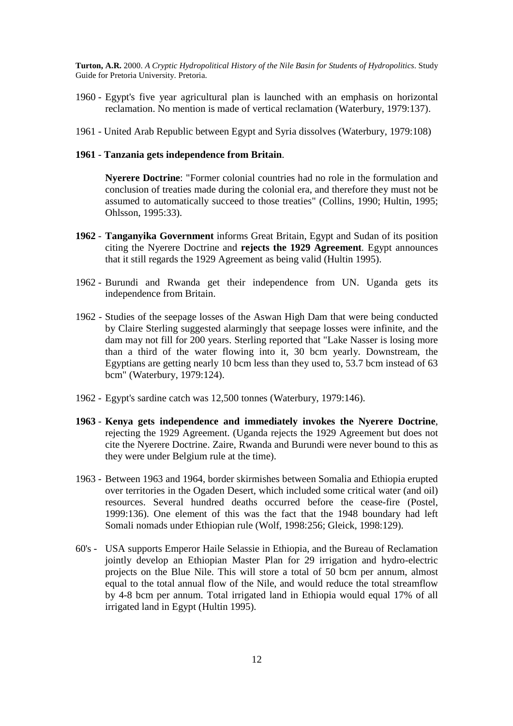- 1960 Egypt's five year agricultural plan is launched with an emphasis on horizontal reclamation. No mention is made of vertical reclamation (Waterbury, 1979:137).
- 1961 United Arab Republic between Egypt and Syria dissolves (Waterbury, 1979:108)

### **1961** - **Tanzania gets independence from Britain**.

**Nyerere Doctrine**: "Former colonial countries had no role in the formulation and conclusion of treaties made during the colonial era, and therefore they must not be assumed to automatically succeed to those treaties" (Collins, 1990; Hultin, 1995; Ohlsson, 1995:33).

- **1962 Tanganyika Government** informs Great Britain, Egypt and Sudan of its position citing the Nyerere Doctrine and **rejects the 1929 Agreement**. Egypt announces that it still regards the 1929 Agreement as being valid (Hultin 1995).
- 1962 Burundi and Rwanda get their independence from UN. Uganda gets its independence from Britain.
- 1962 Studies of the seepage losses of the Aswan High Dam that were being conducted by Claire Sterling suggested alarmingly that seepage losses were infinite, and the dam may not fill for 200 years. Sterling reported that "Lake Nasser is losing more than a third of the water flowing into it, 30 bcm yearly. Downstream, the Egyptians are getting nearly 10 bcm less than they used to, 53.7 bcm instead of 63 bcm" (Waterbury, 1979:124).
- 1962 Egypt's sardine catch was 12,500 tonnes (Waterbury, 1979:146).
- **1963 Kenya gets independence and immediately invokes the Nyerere Doctrine**, rejecting the 1929 Agreement. (Uganda rejects the 1929 Agreement but does not cite the Nyerere Doctrine. Zaire, Rwanda and Burundi were never bound to this as they were under Belgium rule at the time).
- 1963 Between 1963 and 1964, border skirmishes between Somalia and Ethiopia erupted over territories in the Ogaden Desert, which included some critical water (and oil) resources. Several hundred deaths occurred before the cease-fire (Postel, 1999:136). One element of this was the fact that the 1948 boundary had left Somali nomads under Ethiopian rule (Wolf, 1998:256; Gleick, 1998:129).
- 60's USA supports Emperor Haile Selassie in Ethiopia, and the Bureau of Reclamation jointly develop an Ethiopian Master Plan for 29 irrigation and hydro-electric projects on the Blue Nile. This will store a total of 50 bcm per annum, almost equal to the total annual flow of the Nile, and would reduce the total streamflow by 4-8 bcm per annum. Total irrigated land in Ethiopia would equal 17% of all irrigated land in Egypt (Hultin 1995).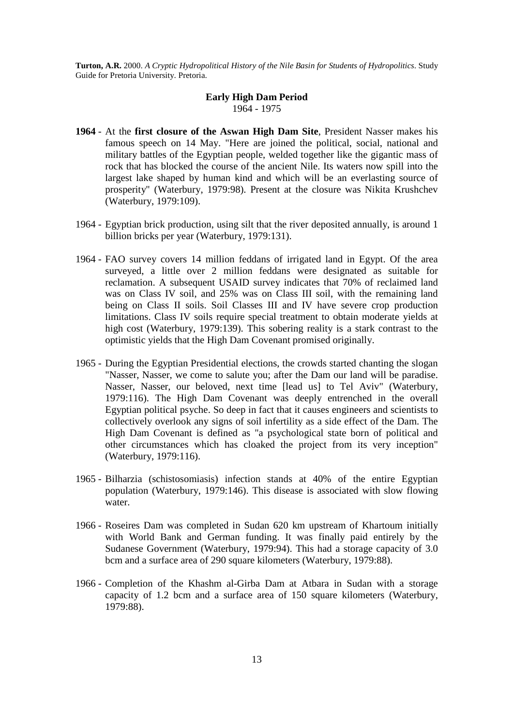#### **Early High Dam Period** 1964 - 1975

- **1964** At the **first closure of the Aswan High Dam Site**, President Nasser makes his famous speech on 14 May. "Here are joined the political, social, national and military battles of the Egyptian people, welded together like the gigantic mass of rock that has blocked the course of the ancient Nile. Its waters now spill into the largest lake shaped by human kind and which will be an everlasting source of prosperity" (Waterbury, 1979:98). Present at the closure was Nikita Krushchev (Waterbury, 1979:109).
- 1964 Egyptian brick production, using silt that the river deposited annually, is around 1 billion bricks per year (Waterbury, 1979:131).
- 1964 FAO survey covers 14 million feddans of irrigated land in Egypt. Of the area surveyed, a little over 2 million feddans were designated as suitable for reclamation. A subsequent USAID survey indicates that 70% of reclaimed land was on Class IV soil, and 25% was on Class III soil, with the remaining land being on Class II soils. Soil Classes III and IV have severe crop production limitations. Class IV soils require special treatment to obtain moderate yields at high cost (Waterbury, 1979:139). This sobering reality is a stark contrast to the optimistic yields that the High Dam Covenant promised originally.
- 1965 During the Egyptian Presidential elections, the crowds started chanting the slogan "Nasser, Nasser, we come to salute you; after the Dam our land will be paradise. Nasser, Nasser, our beloved, next time [lead us] to Tel Aviv" (Waterbury, 1979:116). The High Dam Covenant was deeply entrenched in the overall Egyptian political psyche. So deep in fact that it causes engineers and scientists to collectively overlook any signs of soil infertility as a side effect of the Dam. The High Dam Covenant is defined as "a psychological state born of political and other circumstances which has cloaked the project from its very inception" (Waterbury, 1979:116).
- 1965 Bilharzia (schistosomiasis) infection stands at 40% of the entire Egyptian population (Waterbury, 1979:146). This disease is associated with slow flowing water.
- 1966 Roseires Dam was completed in Sudan 620 km upstream of Khartoum initially with World Bank and German funding. It was finally paid entirely by the Sudanese Government (Waterbury, 1979:94). This had a storage capacity of 3.0 bcm and a surface area of 290 square kilometers (Waterbury, 1979:88).
- 1966 Completion of the Khashm al-Girba Dam at Atbara in Sudan with a storage capacity of 1.2 bcm and a surface area of 150 square kilometers (Waterbury, 1979:88).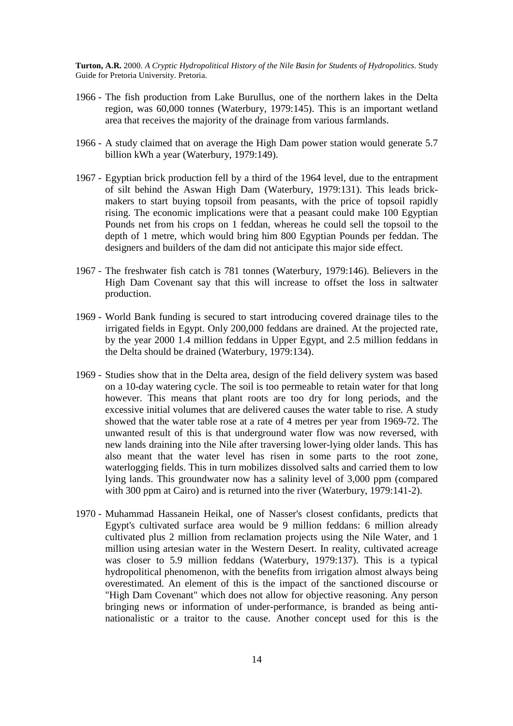- 1966 The fish production from Lake Burullus, one of the northern lakes in the Delta region, was 60,000 tonnes (Waterbury, 1979:145). This is an important wetland area that receives the majority of the drainage from various farmlands.
- 1966 A study claimed that on average the High Dam power station would generate 5.7 billion kWh a year (Waterbury, 1979:149).
- 1967 Egyptian brick production fell by a third of the 1964 level, due to the entrapment of silt behind the Aswan High Dam (Waterbury, 1979:131). This leads brickmakers to start buying topsoil from peasants, with the price of topsoil rapidly rising. The economic implications were that a peasant could make 100 Egyptian Pounds net from his crops on 1 feddan, whereas he could sell the topsoil to the depth of 1 metre, which would bring him 800 Egyptian Pounds per feddan. The designers and builders of the dam did not anticipate this major side effect.
- 1967 The freshwater fish catch is 781 tonnes (Waterbury, 1979:146). Believers in the High Dam Covenant say that this will increase to offset the loss in saltwater production.
- 1969 World Bank funding is secured to start introducing covered drainage tiles to the irrigated fields in Egypt. Only 200,000 feddans are drained. At the projected rate, by the year 2000 1.4 million feddans in Upper Egypt, and 2.5 million feddans in the Delta should be drained (Waterbury, 1979:134).
- 1969 Studies show that in the Delta area, design of the field delivery system was based on a 10-day watering cycle. The soil is too permeable to retain water for that long however. This means that plant roots are too dry for long periods, and the excessive initial volumes that are delivered causes the water table to rise. A study showed that the water table rose at a rate of 4 metres per year from 1969-72. The unwanted result of this is that underground water flow was now reversed, with new lands draining into the Nile after traversing lower-lying older lands. This has also meant that the water level has risen in some parts to the root zone, waterlogging fields. This in turn mobilizes dissolved salts and carried them to low lying lands. This groundwater now has a salinity level of 3,000 ppm (compared with 300 ppm at Cairo) and is returned into the river (Waterbury, 1979:141-2).
- 1970 Muhammad Hassanein Heikal, one of Nasser's closest confidants, predicts that Egypt's cultivated surface area would be 9 million feddans: 6 million already cultivated plus 2 million from reclamation projects using the Nile Water, and 1 million using artesian water in the Western Desert. In reality, cultivated acreage was closer to 5.9 million feddans (Waterbury, 1979:137). This is a typical hydropolitical phenomenon, with the benefits from irrigation almost always being overestimated. An element of this is the impact of the sanctioned discourse or "High Dam Covenant" which does not allow for objective reasoning. Any person bringing news or information of under-performance, is branded as being antinationalistic or a traitor to the cause. Another concept used for this is the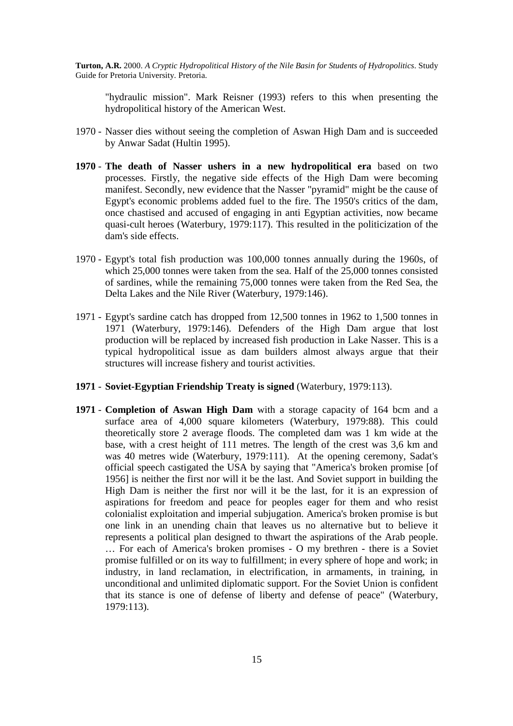"hydraulic mission". Mark Reisner (1993) refers to this when presenting the hydropolitical history of the American West.

- 1970 Nasser dies without seeing the completion of Aswan High Dam and is succeeded by Anwar Sadat (Hultin 1995).
- **1970 The death of Nasser ushers in a new hydropolitical era** based on two processes. Firstly, the negative side effects of the High Dam were becoming manifest. Secondly, new evidence that the Nasser "pyramid" might be the cause of Egypt's economic problems added fuel to the fire. The 1950's critics of the dam, once chastised and accused of engaging in anti Egyptian activities, now became quasi-cult heroes (Waterbury, 1979:117). This resulted in the politicization of the dam's side effects.
- 1970 Egypt's total fish production was 100,000 tonnes annually during the 1960s, of which 25,000 tonnes were taken from the sea. Half of the 25,000 tonnes consisted of sardines, while the remaining 75,000 tonnes were taken from the Red Sea, the Delta Lakes and the Nile River (Waterbury, 1979:146).
- 1971 Egypt's sardine catch has dropped from 12,500 tonnes in 1962 to 1,500 tonnes in 1971 (Waterbury, 1979:146). Defenders of the High Dam argue that lost production will be replaced by increased fish production in Lake Nasser. This is a typical hydropolitical issue as dam builders almost always argue that their structures will increase fishery and tourist activities.
- **1971 Soviet-Egyptian Friendship Treaty is signed** (Waterbury, 1979:113).
- **1971 Completion of Aswan High Dam** with a storage capacity of 164 bcm and a surface area of 4,000 square kilometers (Waterbury, 1979:88). This could theoretically store 2 average floods. The completed dam was 1 km wide at the base, with a crest height of 111 metres. The length of the crest was 3,6 km and was 40 metres wide (Waterbury, 1979:111). At the opening ceremony, Sadat's official speech castigated the USA by saying that "America's broken promise [of 1956] is neither the first nor will it be the last. And Soviet support in building the High Dam is neither the first nor will it be the last, for it is an expression of aspirations for freedom and peace for peoples eager for them and who resist colonialist exploitation and imperial subjugation. America's broken promise is but one link in an unending chain that leaves us no alternative but to believe it represents a political plan designed to thwart the aspirations of the Arab people. … For each of America's broken promises - O my brethren - there is a Soviet promise fulfilled or on its way to fulfillment; in every sphere of hope and work; in industry, in land reclamation, in electrification, in armaments, in training, in unconditional and unlimited diplomatic support. For the Soviet Union is confident that its stance is one of defense of liberty and defense of peace" (Waterbury, 1979:113).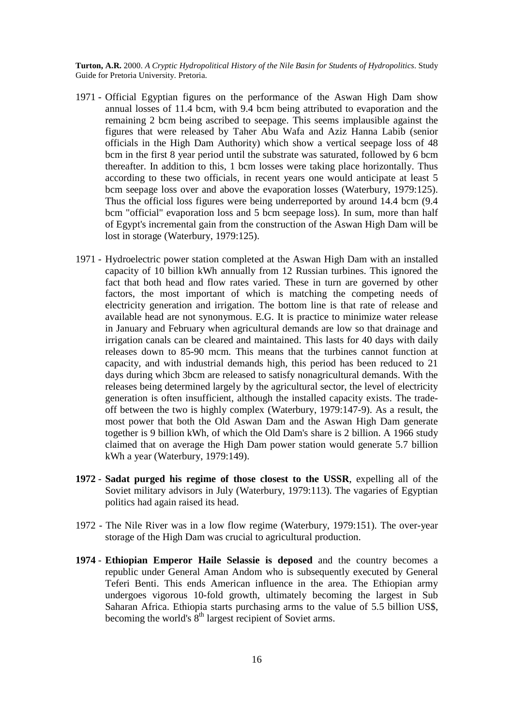- 1971 Official Egyptian figures on the performance of the Aswan High Dam show annual losses of 11.4 bcm, with 9.4 bcm being attributed to evaporation and the remaining 2 bcm being ascribed to seepage. This seems implausible against the figures that were released by Taher Abu Wafa and Aziz Hanna Labib (senior officials in the High Dam Authority) which show a vertical seepage loss of 48 bcm in the first 8 year period until the substrate was saturated, followed by 6 bcm thereafter. In addition to this, 1 bcm losses were taking place horizontally. Thus according to these two officials, in recent years one would anticipate at least 5 bcm seepage loss over and above the evaporation losses (Waterbury, 1979:125). Thus the official loss figures were being underreported by around 14.4 bcm (9.4 bcm "official" evaporation loss and 5 bcm seepage loss). In sum, more than half of Egypt's incremental gain from the construction of the Aswan High Dam will be lost in storage (Waterbury, 1979:125).
- 1971 Hydroelectric power station completed at the Aswan High Dam with an installed capacity of 10 billion kWh annually from 12 Russian turbines. This ignored the fact that both head and flow rates varied. These in turn are governed by other factors, the most important of which is matching the competing needs of electricity generation and irrigation. The bottom line is that rate of release and available head are not synonymous. E.G. It is practice to minimize water release in January and February when agricultural demands are low so that drainage and irrigation canals can be cleared and maintained. This lasts for 40 days with daily releases down to 85-90 mcm. This means that the turbines cannot function at capacity, and with industrial demands high, this period has been reduced to 21 days during which 3bcm are released to satisfy nonagricultural demands. With the releases being determined largely by the agricultural sector, the level of electricity generation is often insufficient, although the installed capacity exists. The tradeoff between the two is highly complex (Waterbury, 1979:147-9). As a result, the most power that both the Old Aswan Dam and the Aswan High Dam generate together is 9 billion kWh, of which the Old Dam's share is 2 billion. A 1966 study claimed that on average the High Dam power station would generate 5.7 billion kWh a year (Waterbury, 1979:149).
- **1972 Sadat purged his regime of those closest to the USSR**, expelling all of the Soviet military advisors in July (Waterbury, 1979:113). The vagaries of Egyptian politics had again raised its head.
- 1972 The Nile River was in a low flow regime (Waterbury, 1979:151). The over-year storage of the High Dam was crucial to agricultural production.
- **1974 Ethiopian Emperor Haile Selassie is deposed** and the country becomes a republic under General Aman Andom who is subsequently executed by General Teferi Benti. This ends American influence in the area. The Ethiopian army undergoes vigorous 10-fold growth, ultimately becoming the largest in Sub Saharan Africa. Ethiopia starts purchasing arms to the value of 5.5 billion US\$, becoming the world's  $\tilde{8}^{th}$  largest recipient of Soviet arms.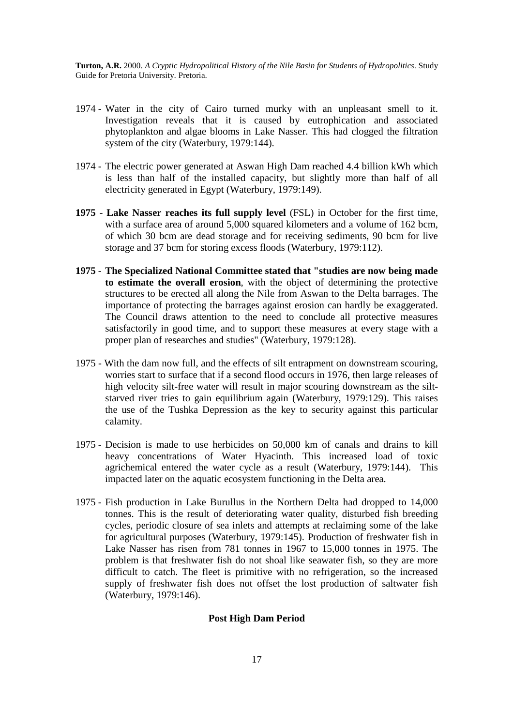- 1974 Water in the city of Cairo turned murky with an unpleasant smell to it. Investigation reveals that it is caused by eutrophication and associated phytoplankton and algae blooms in Lake Nasser. This had clogged the filtration system of the city (Waterbury, 1979:144).
- 1974 The electric power generated at Aswan High Dam reached 4.4 billion kWh which is less than half of the installed capacity, but slightly more than half of all electricity generated in Egypt (Waterbury, 1979:149).
- **1975 Lake Nasser reaches its full supply level** (FSL) in October for the first time, with a surface area of around 5,000 squared kilometers and a volume of 162 bcm, of which 30 bcm are dead storage and for receiving sediments, 90 bcm for live storage and 37 bcm for storing excess floods (Waterbury, 1979:112).
- **1975 The Specialized National Committee stated that "studies are now being made to estimate the overall erosion**, with the object of determining the protective structures to be erected all along the Nile from Aswan to the Delta barrages. The importance of protecting the barrages against erosion can hardly be exaggerated. The Council draws attention to the need to conclude all protective measures satisfactorily in good time, and to support these measures at every stage with a proper plan of researches and studies" (Waterbury, 1979:128).
- 1975 With the dam now full, and the effects of silt entrapment on downstream scouring, worries start to surface that if a second flood occurs in 1976, then large releases of high velocity silt-free water will result in major scouring downstream as the siltstarved river tries to gain equilibrium again (Waterbury, 1979:129). This raises the use of the Tushka Depression as the key to security against this particular calamity.
- 1975 Decision is made to use herbicides on 50,000 km of canals and drains to kill heavy concentrations of Water Hyacinth. This increased load of toxic agrichemical entered the water cycle as a result (Waterbury, 1979:144). This impacted later on the aquatic ecosystem functioning in the Delta area.
- 1975 Fish production in Lake Burullus in the Northern Delta had dropped to 14,000 tonnes. This is the result of deteriorating water quality, disturbed fish breeding cycles, periodic closure of sea inlets and attempts at reclaiming some of the lake for agricultural purposes (Waterbury, 1979:145). Production of freshwater fish in Lake Nasser has risen from 781 tonnes in 1967 to 15,000 tonnes in 1975. The problem is that freshwater fish do not shoal like seawater fish, so they are more difficult to catch. The fleet is primitive with no refrigeration, so the increased supply of freshwater fish does not offset the lost production of saltwater fish (Waterbury, 1979:146).

# **Post High Dam Period**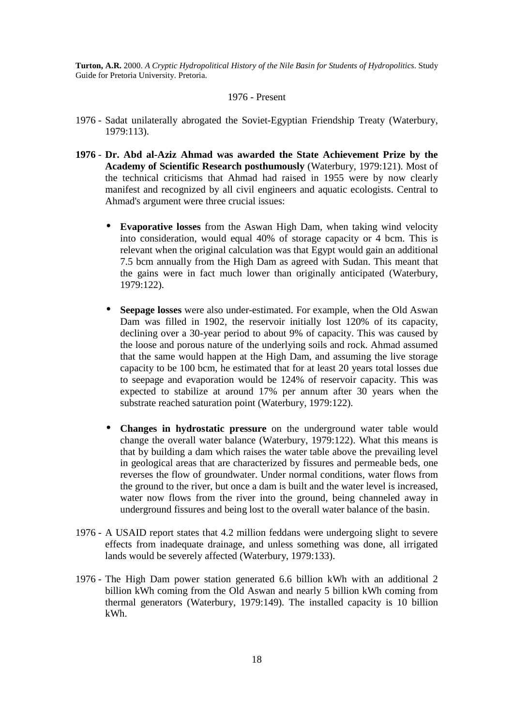#### 1976 - Present

- 1976 Sadat unilaterally abrogated the Soviet-Egyptian Friendship Treaty (Waterbury, 1979:113).
- **1976 Dr. Abd al-Aziz Ahmad was awarded the State Achievement Prize by the Academy of Scientific Research posthumously** (Waterbury, 1979:121). Most of the technical criticisms that Ahmad had raised in 1955 were by now clearly manifest and recognized by all civil engineers and aquatic ecologists. Central to Ahmad's argument were three crucial issues:
	- **Evaporative losses** from the Aswan High Dam, when taking wind velocity into consideration, would equal 40% of storage capacity or 4 bcm. This is relevant when the original calculation was that Egypt would gain an additional 7.5 bcm annually from the High Dam as agreed with Sudan. This meant that the gains were in fact much lower than originally anticipated (Waterbury, 1979:122).
	- **Seepage losses** were also under-estimated. For example, when the Old Aswan Dam was filled in 1902, the reservoir initially lost 120% of its capacity, declining over a 30-year period to about 9% of capacity. This was caused by the loose and porous nature of the underlying soils and rock. Ahmad assumed that the same would happen at the High Dam, and assuming the live storage capacity to be 100 bcm, he estimated that for at least 20 years total losses due to seepage and evaporation would be 124% of reservoir capacity. This was expected to stabilize at around 17% per annum after 30 years when the substrate reached saturation point (Waterbury, 1979:122).
	- **Changes in hydrostatic pressure** on the underground water table would change the overall water balance (Waterbury, 1979:122). What this means is that by building a dam which raises the water table above the prevailing level in geological areas that are characterized by fissures and permeable beds, one reverses the flow of groundwater. Under normal conditions, water flows from the ground to the river, but once a dam is built and the water level is increased, water now flows from the river into the ground, being channeled away in underground fissures and being lost to the overall water balance of the basin.
- 1976 A USAID report states that 4.2 million feddans were undergoing slight to severe effects from inadequate drainage, and unless something was done, all irrigated lands would be severely affected (Waterbury, 1979:133).
- 1976 The High Dam power station generated 6.6 billion kWh with an additional 2 billion kWh coming from the Old Aswan and nearly 5 billion kWh coming from thermal generators (Waterbury, 1979:149). The installed capacity is 10 billion kWh.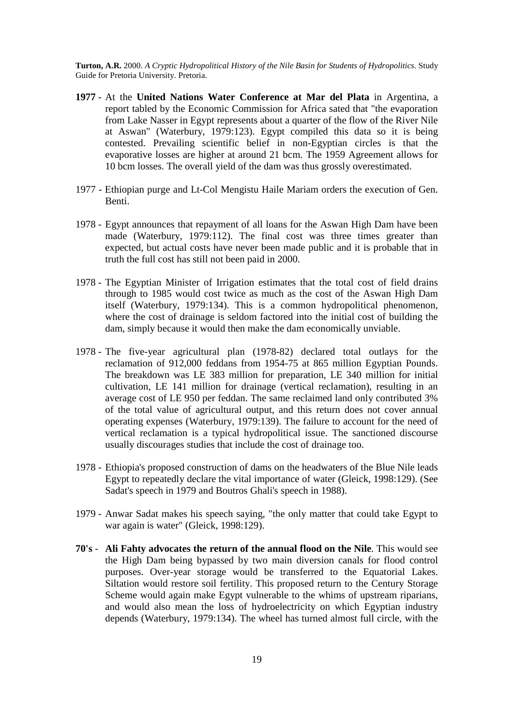- **1977**  At the **United Nations Water Conference at Mar del Plata** in Argentina, a report tabled by the Economic Commission for Africa sated that "the evaporation from Lake Nasser in Egypt represents about a quarter of the flow of the River Nile at Aswan" (Waterbury, 1979:123). Egypt compiled this data so it is being contested. Prevailing scientific belief in non-Egyptian circles is that the evaporative losses are higher at around 21 bcm. The 1959 Agreement allows for 10 bcm losses. The overall yield of the dam was thus grossly overestimated.
- 1977 Ethiopian purge and Lt-Col Mengistu Haile Mariam orders the execution of Gen. Benti.
- 1978 Egypt announces that repayment of all loans for the Aswan High Dam have been made (Waterbury, 1979:112). The final cost was three times greater than expected, but actual costs have never been made public and it is probable that in truth the full cost has still not been paid in 2000.
- 1978 The Egyptian Minister of Irrigation estimates that the total cost of field drains through to 1985 would cost twice as much as the cost of the Aswan High Dam itself (Waterbury, 1979:134). This is a common hydropolitical phenomenon, where the cost of drainage is seldom factored into the initial cost of building the dam, simply because it would then make the dam economically unviable.
- 1978 The five-year agricultural plan (1978-82) declared total outlays for the reclamation of 912,000 feddans from 1954-75 at 865 million Egyptian Pounds. The breakdown was LE 383 million for preparation, LE 340 million for initial cultivation, LE 141 million for drainage (vertical reclamation), resulting in an average cost of LE 950 per feddan. The same reclaimed land only contributed 3% of the total value of agricultural output, and this return does not cover annual operating expenses (Waterbury, 1979:139). The failure to account for the need of vertical reclamation is a typical hydropolitical issue. The sanctioned discourse usually discourages studies that include the cost of drainage too.
- 1978 Ethiopia's proposed construction of dams on the headwaters of the Blue Nile leads Egypt to repeatedly declare the vital importance of water (Gleick, 1998:129). (See Sadat's speech in 1979 and Boutros Ghali's speech in 1988).
- 1979 Anwar Sadat makes his speech saying, "the only matter that could take Egypt to war again is water" (Gleick, 1998:129).
- **70's Ali Fahty advocates the return of the annual flood on the Nile**. This would see the High Dam being bypassed by two main diversion canals for flood control purposes. Over-year storage would be transferred to the Equatorial Lakes. Siltation would restore soil fertility. This proposed return to the Century Storage Scheme would again make Egypt vulnerable to the whims of upstream riparians, and would also mean the loss of hydroelectricity on which Egyptian industry depends (Waterbury, 1979:134). The wheel has turned almost full circle, with the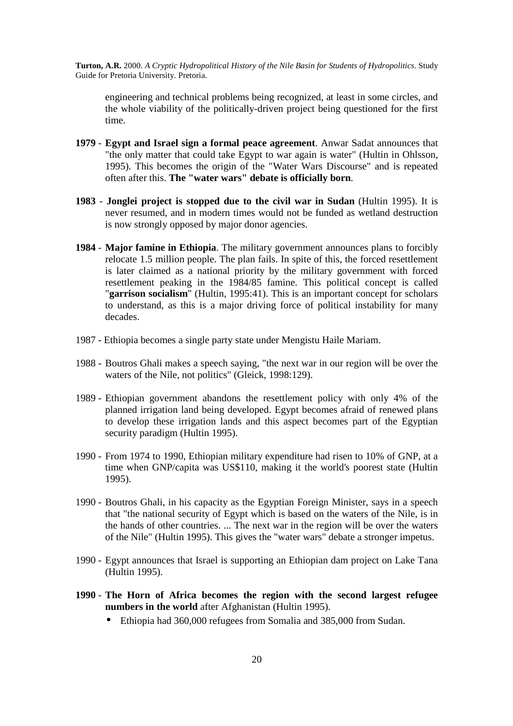engineering and technical problems being recognized, at least in some circles, and the whole viability of the politically-driven project being questioned for the first time.

- **1979 Egypt and Israel sign a formal peace agreement**. Anwar Sadat announces that "the only matter that could take Egypt to war again is water" (Hultin in Ohlsson, 1995). This becomes the origin of the "Water Wars Discourse" and is repeated often after this. **The "water wars" debate is officially born**.
- **1983 Jonglei project is stopped due to the civil war in Sudan** (Hultin 1995). It is never resumed, and in modern times would not be funded as wetland destruction is now strongly opposed by major donor agencies.
- **1984 Major famine in Ethiopia**. The military government announces plans to forcibly relocate 1.5 million people. The plan fails. In spite of this, the forced resettlement is later claimed as a national priority by the military government with forced resettlement peaking in the 1984/85 famine. This political concept is called "**garrison socialism**" (Hultin, 1995:41). This is an important concept for scholars to understand, as this is a major driving force of political instability for many decades.
- 1987 Ethiopia becomes a single party state under Mengistu Haile Mariam.
- 1988 Boutros Ghali makes a speech saying, "the next war in our region will be over the waters of the Nile, not politics" (Gleick, 1998:129).
- 1989 Ethiopian government abandons the resettlement policy with only 4% of the planned irrigation land being developed. Egypt becomes afraid of renewed plans to develop these irrigation lands and this aspect becomes part of the Egyptian security paradigm (Hultin 1995).
- 1990 From 1974 to 1990, Ethiopian military expenditure had risen to 10% of GNP, at a time when GNP/capita was US\$110, making it the world's poorest state (Hultin 1995).
- 1990 Boutros Ghali, in his capacity as the Egyptian Foreign Minister, says in a speech that "the national security of Egypt which is based on the waters of the Nile, is in the hands of other countries. ... The next war in the region will be over the waters of the Nile" (Hultin 1995). This gives the "water wars" debate a stronger impetus.
- 1990 Egypt announces that Israel is supporting an Ethiopian dam project on Lake Tana (Hultin 1995).
- **1990 The Horn of Africa becomes the region with the second largest refugee numbers in the world** after Afghanistan (Hultin 1995).
	- Ethiopia had 360,000 refugees from Somalia and 385,000 from Sudan.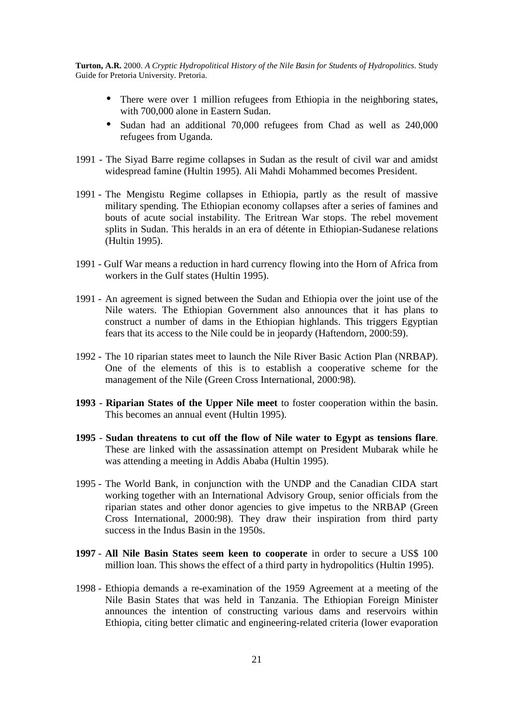- There were over 1 million refugees from Ethiopia in the neighboring states, with 700,000 alone in Eastern Sudan.
- Sudan had an additional 70,000 refugees from Chad as well as 240,000 refugees from Uganda.
- 1991 The Siyad Barre regime collapses in Sudan as the result of civil war and amidst widespread famine (Hultin 1995). Ali Mahdi Mohammed becomes President.
- 1991 The Mengistu Regime collapses in Ethiopia, partly as the result of massive military spending. The Ethiopian economy collapses after a series of famines and bouts of acute social instability. The Eritrean War stops. The rebel movement splits in Sudan. This heralds in an era of détente in Ethiopian-Sudanese relations (Hultin 1995).
- 1991 Gulf War means a reduction in hard currency flowing into the Horn of Africa from workers in the Gulf states (Hultin 1995).
- 1991 An agreement is signed between the Sudan and Ethiopia over the joint use of the Nile waters. The Ethiopian Government also announces that it has plans to construct a number of dams in the Ethiopian highlands. This triggers Egyptian fears that its access to the Nile could be in jeopardy (Haftendorn, 2000:59).
- 1992 The 10 riparian states meet to launch the Nile River Basic Action Plan (NRBAP). One of the elements of this is to establish a cooperative scheme for the management of the Nile (Green Cross International, 2000:98).
- **1993 Riparian States of the Upper Nile meet** to foster cooperation within the basin. This becomes an annual event (Hultin 1995).
- **1995 Sudan threatens to cut off the flow of Nile water to Egypt as tensions flare**. These are linked with the assassination attempt on President Mubarak while he was attending a meeting in Addis Ababa (Hultin 1995).
- 1995 The World Bank, in conjunction with the UNDP and the Canadian CIDA start working together with an International Advisory Group, senior officials from the riparian states and other donor agencies to give impetus to the NRBAP (Green Cross International, 2000:98). They draw their inspiration from third party success in the Indus Basin in the 1950s.
- **1997 All Nile Basin States seem keen to cooperate** in order to secure a US\$ 100 million loan. This shows the effect of a third party in hydropolitics (Hultin 1995).
- 1998 Ethiopia demands a re-examination of the 1959 Agreement at a meeting of the Nile Basin States that was held in Tanzania. The Ethiopian Foreign Minister announces the intention of constructing various dams and reservoirs within Ethiopia, citing better climatic and engineering-related criteria (lower evaporation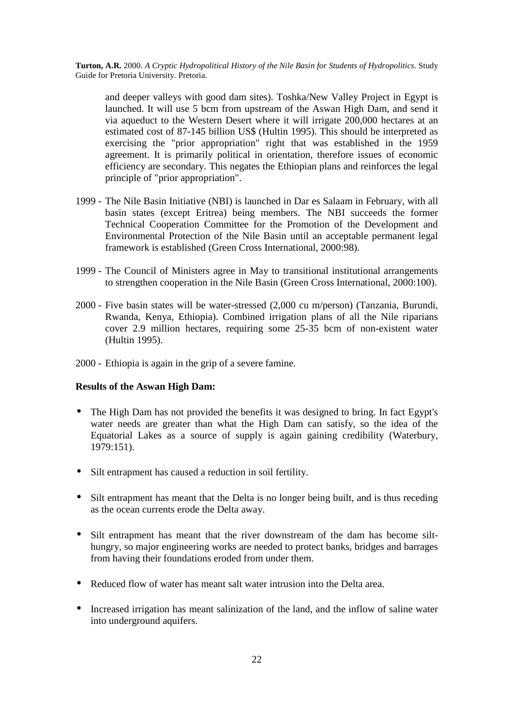and deeper valleys with good dam sites). Toshka/New Valley Project in Egypt is launched. It will use 5 bcm from upstream of the Aswan High Dam, and send it via aqueduct to the Western Desert where it will irrigate 200,000 hectares at an estimated cost of 87-145 billion US\$ (Hultin 1995). This should be interpreted as exercising the "prior appropriation" right that was established in the 1959 agreement. It is primarily political in orientation, therefore issues of economic efficiency are secondary. This negates the Ethiopian plans and reinforces the legal principle of "prior appropriation".

- 1999 The Nile Basin Initiative (NBI) is launched in Dar es Salaam in February, with all basin states (except Eritrea) being members. The NBI succeeds the former Technical Cooperation Committee for the Promotion of the Development and Environmental Protection of the Nile Basin until an acceptable permanent legal framework is established (Green Cross International, 2000:98).
- 1999 The Council of Ministers agree in May to transitional institutional arrangements to strengthen cooperation in the Nile Basin (Green Cross International, 2000:100).
- 2000 Five basin states will be water-stressed (2,000 cu m/person) (Tanzania, Burundi, Rwanda, Kenya, Ethiopia). Combined irrigation plans of all the Nile riparians cover 2.9 million hectares, requiring some 25-35 bcm of non-existent water (Hultin 1995).
- 2000 Ethiopia is again in the grip of a severe famine.

### **Results of the Aswan High Dam:**

- The High Dam has not provided the benefits it was designed to bring. In fact Egypt's water needs are greater than what the High Dam can satisfy, so the idea of the Equatorial Lakes as a source of supply is again gaining credibility (Waterbury, 1979:151).
- Silt entrapment has caused a reduction in soil fertility.
- Silt entrapment has meant that the Delta is no longer being built, and is thus receding as the ocean currents erode the Delta away.
- Silt entrapment has meant that the river downstream of the dam has become silthungry, so major engineering works are needed to protect banks, bridges and barrages from having their foundations eroded from under them.
- Reduced flow of water has meant salt water intrusion into the Delta area.
- Increased irrigation has meant salinization of the land, and the inflow of saline water into underground aquifers.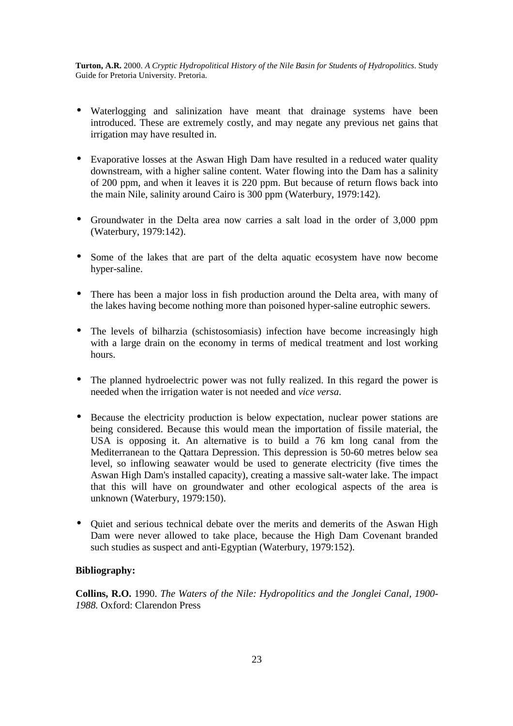- Waterlogging and salinization have meant that drainage systems have been introduced. These are extremely costly, and may negate any previous net gains that irrigation may have resulted in.
- Evaporative losses at the Aswan High Dam have resulted in a reduced water quality downstream, with a higher saline content. Water flowing into the Dam has a salinity of 200 ppm, and when it leaves it is 220 ppm. But because of return flows back into the main Nile, salinity around Cairo is 300 ppm (Waterbury, 1979:142).
- Groundwater in the Delta area now carries a salt load in the order of 3,000 ppm (Waterbury, 1979:142).
- Some of the lakes that are part of the delta aquatic ecosystem have now become hyper-saline.
- There has been a major loss in fish production around the Delta area, with many of the lakes having become nothing more than poisoned hyper-saline eutrophic sewers.
- The levels of bilharzia (schistosomiasis) infection have become increasingly high with a large drain on the economy in terms of medical treatment and lost working hours.
- The planned hydroelectric power was not fully realized. In this regard the power is needed when the irrigation water is not needed and *vice versa*.
- Because the electricity production is below expectation, nuclear power stations are being considered. Because this would mean the importation of fissile material, the USA is opposing it. An alternative is to build a 76 km long canal from the Mediterranean to the Qattara Depression. This depression is 50-60 metres below sea level, so inflowing seawater would be used to generate electricity (five times the Aswan High Dam's installed capacity), creating a massive salt-water lake. The impact that this will have on groundwater and other ecological aspects of the area is unknown (Waterbury, 1979:150).
- Quiet and serious technical debate over the merits and demerits of the Aswan High Dam were never allowed to take place, because the High Dam Covenant branded such studies as suspect and anti-Egyptian (Waterbury, 1979:152).

## **Bibliography:**

**Collins, R.O.** 1990. *The Waters of the Nile: Hydropolitics and the Jonglei Canal, 1900- 1988.* Oxford: Clarendon Press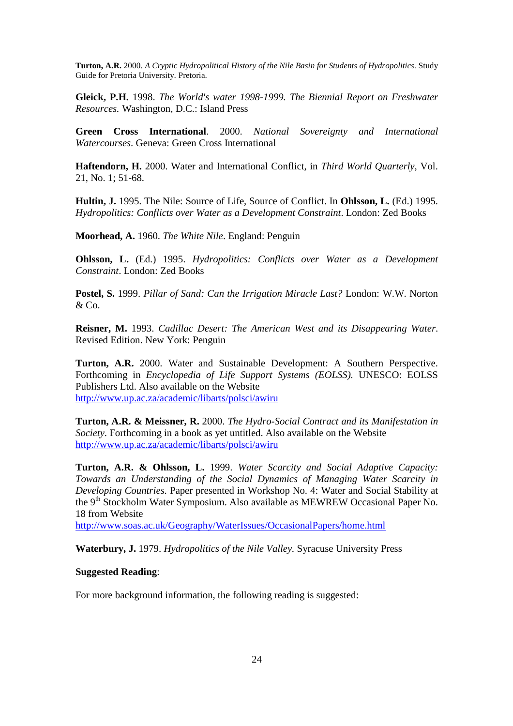**Gleick, P.H.** 1998. *The World's water 1998-1999. The Biennial Report on Freshwater Resources.* Washington, D.C.: Island Press

**Green Cross International**. 2000. *National Sovereignty and International Watercourses*. Geneva: Green Cross International

**Haftendorn, H.** 2000. Water and International Conflict, in *Third World Quarterly*, Vol. 21, No. 1; 51-68.

**Hultin, J.** 1995. The Nile: Source of Life, Source of Conflict. In **Ohlsson, L.** (Ed.) 1995. *Hydropolitics: Conflicts over Water as a Development Constraint*. London: Zed Books

**Moorhead, A.** 1960. *The White Nile*. England: Penguin

**Ohlsson, L.** (Ed.) 1995. *Hydropolitics: Conflicts over Water as a Development Constraint*. London: Zed Books

**Postel, S.** 1999. *Pillar of Sand: Can the Irrigation Miracle Last?* London: W.W. Norton & Co.

**Reisner, M.** 1993. *Cadillac Desert: The American West and its Disappearing Water*. Revised Edition. New York: Penguin

**Turton, A.R.** 2000. Water and Sustainable Development: A Southern Perspective. Forthcoming in *Encyclopedia of Life Support Systems (EOLSS).* UNESCO: EOLSS Publishers Ltd. Also available on the Website http://www.up.ac.za/academic/libarts/polsci/awiru

**Turton, A.R. & Meissner, R.** 2000. *The Hydro-Social Contract and its Manifestation in Society*. Forthcoming in a book as yet untitled. Also available on the Website http://www.up.ac.za/academic/libarts/polsci/awiru

**Turton, A.R. & Ohlsson, L.** 1999. *Water Scarcity and Social Adaptive Capacity: Towards an Understanding of the Social Dynamics of Managing Water Scarcity in Developing Countries*. Paper presented in Workshop No. 4: Water and Social Stability at the 9<sup>th</sup> Stockholm Water Symposium. Also available as MEWREW Occasional Paper No. 18 from Website

http://www.soas.ac.uk/Geography/WaterIssues/OccasionalPapers/home.html

**Waterbury, J.** 1979. *Hydropolitics of the Nile Valley.* Syracuse University Press

## **Suggested Reading**:

For more background information, the following reading is suggested: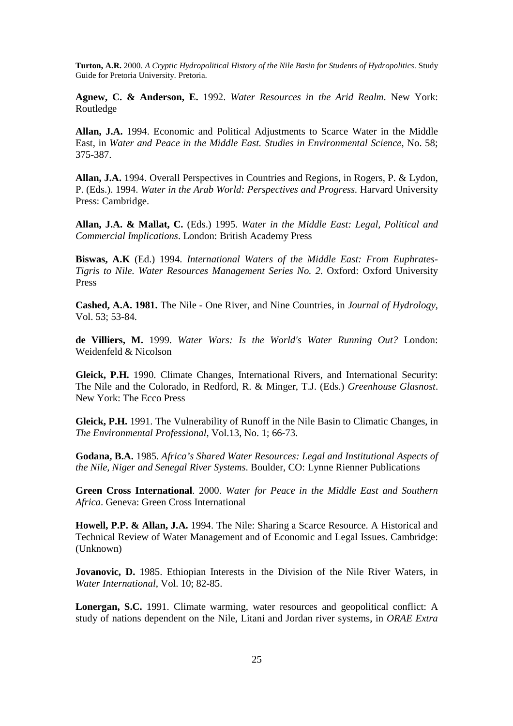**Agnew, C. & Anderson, E.** 1992. *Water Resources in the Arid Realm*. New York: Routledge

**Allan, J.A.** 1994. Economic and Political Adjustments to Scarce Water in the Middle East, in *Water and Peace in the Middle East. Studies in Environmental Science*, No. 58; 375-387.

**Allan, J.A.** 1994. Overall Perspectives in Countries and Regions, in Rogers, P. & Lydon, P. (Eds.). 1994. *Water in the Arab World: Perspectives and Progress.* Harvard University Press: Cambridge.

**Allan, J.A. & Mallat, C.** (Eds.) 1995. *Water in the Middle East: Legal, Political and Commercial Implications*. London: British Academy Press

**Biswas, A.K** (Ed.) 1994. *International Waters of the Middle East: From Euphrates-Tigris to Nile. Water Resources Management Series No. 2*. Oxford: Oxford University Press

**Cashed, A.A. 1981.** The Nile - One River, and Nine Countries, in *Journal of Hydrology*, Vol. 53; 53-84.

**de Villiers, M.** 1999. *Water Wars: Is the World's Water Running Out?* London: Weidenfeld & Nicolson

**Gleick, P.H.** 1990. Climate Changes, International Rivers, and International Security: The Nile and the Colorado, in Redford, R. & Minger, T.J. (Eds.) *Greenhouse Glasnost*. New York: The Ecco Press

**Gleick, P.H.** 1991. The Vulnerability of Runoff in the Nile Basin to Climatic Changes, in *The Environmental Professional*, Vol.13, No. 1; 66-73.

**Godana, B.A.** 1985. *Africa's Shared Water Resources: Legal and Institutional Aspects of the Nile, Niger and Senegal River Systems*. Boulder, CO: Lynne Rienner Publications

**Green Cross International**. 2000. *Water for Peace in the Middle East and Southern Africa*. Geneva: Green Cross International

**Howell, P.P. & Allan, J.A.** 1994. The Nile: Sharing a Scarce Resource. A Historical and Technical Review of Water Management and of Economic and Legal Issues. Cambridge: (Unknown)

**Jovanovic, D.** 1985. Ethiopian Interests in the Division of the Nile River Waters, in *Water International*, Vol. 10; 82-85.

Lonergan, S.C. 1991. Climate warming, water resources and geopolitical conflict: A study of nations dependent on the Nile, Litani and Jordan river systems, in *ORAE Extra*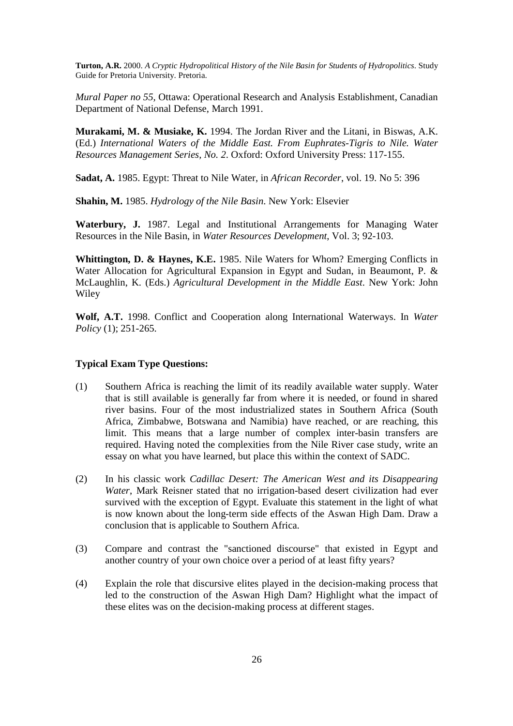*Mural Paper no 55,* Ottawa: Operational Research and Analysis Establishment, Canadian Department of National Defense, March 1991.

**Murakami, M. & Musiake, K.** 1994. The Jordan River and the Litani, in Biswas, A.K. (Ed.) *International Waters of the Middle East. From Euphrates-Tigris to Nile. Water Resources Management Series, No. 2*. Oxford: Oxford University Press: 117-155.

**Sadat, A.** 1985. Egypt: Threat to Nile Water, in *African Recorder*, vol. 19. No 5: 396

**Shahin, M.** 1985. *Hydrology of the Nile Basin*. New York: Elsevier

**Waterbury, J.** 1987. Legal and Institutional Arrangements for Managing Water Resources in the Nile Basin, in *Water Resources Development*, Vol. 3; 92-103.

**Whittington, D. & Haynes, K.E.** 1985. Nile Waters for Whom? Emerging Conflicts in Water Allocation for Agricultural Expansion in Egypt and Sudan, in Beaumont, P. & McLaughlin, K. (Eds.) *Agricultural Development in the Middle East*. New York: John Wiley

**Wolf, A.T.** 1998. Conflict and Cooperation along International Waterways. In *Water Policy* (1); 251-265.

#### **Typical Exam Type Questions:**

- (1) Southern Africa is reaching the limit of its readily available water supply. Water that is still available is generally far from where it is needed, or found in shared river basins. Four of the most industrialized states in Southern Africa (South Africa, Zimbabwe, Botswana and Namibia) have reached, or are reaching, this limit. This means that a large number of complex inter-basin transfers are required. Having noted the complexities from the Nile River case study, write an essay on what you have learned, but place this within the context of SADC.
- (2) In his classic work *Cadillac Desert: The American West and its Disappearing Water*, Mark Reisner stated that no irrigation-based desert civilization had ever survived with the exception of Egypt. Evaluate this statement in the light of what is now known about the long-term side effects of the Aswan High Dam. Draw a conclusion that is applicable to Southern Africa.
- (3) Compare and contrast the "sanctioned discourse" that existed in Egypt and another country of your own choice over a period of at least fifty years?
- (4) Explain the role that discursive elites played in the decision-making process that led to the construction of the Aswan High Dam? Highlight what the impact of these elites was on the decision-making process at different stages.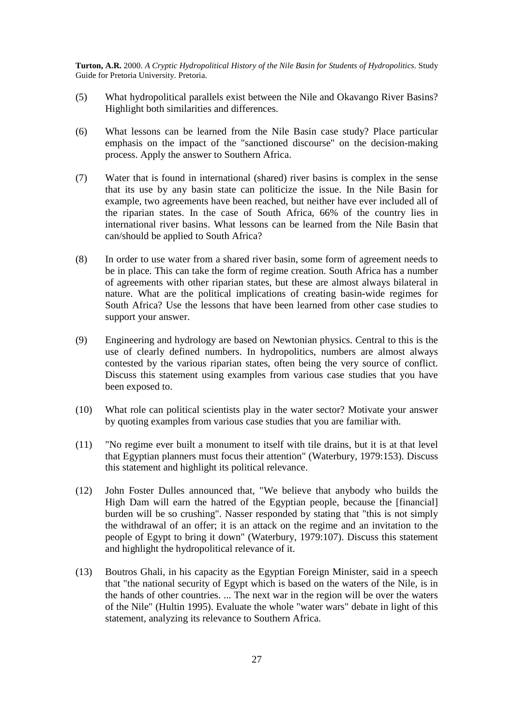- (5) What hydropolitical parallels exist between the Nile and Okavango River Basins? Highlight both similarities and differences.
- (6) What lessons can be learned from the Nile Basin case study? Place particular emphasis on the impact of the "sanctioned discourse" on the decision-making process. Apply the answer to Southern Africa.
- (7) Water that is found in international (shared) river basins is complex in the sense that its use by any basin state can politicize the issue. In the Nile Basin for example, two agreements have been reached, but neither have ever included all of the riparian states. In the case of South Africa, 66% of the country lies in international river basins. What lessons can be learned from the Nile Basin that can/should be applied to South Africa?
- (8) In order to use water from a shared river basin, some form of agreement needs to be in place. This can take the form of regime creation. South Africa has a number of agreements with other riparian states, but these are almost always bilateral in nature. What are the political implications of creating basin-wide regimes for South Africa? Use the lessons that have been learned from other case studies to support your answer.
- (9) Engineering and hydrology are based on Newtonian physics. Central to this is the use of clearly defined numbers. In hydropolitics, numbers are almost always contested by the various riparian states, often being the very source of conflict. Discuss this statement using examples from various case studies that you have been exposed to.
- (10) What role can political scientists play in the water sector? Motivate your answer by quoting examples from various case studies that you are familiar with.
- (11) "No regime ever built a monument to itself with tile drains, but it is at that level that Egyptian planners must focus their attention" (Waterbury, 1979:153). Discuss this statement and highlight its political relevance.
- (12) John Foster Dulles announced that, "We believe that anybody who builds the High Dam will earn the hatred of the Egyptian people, because the [financial] burden will be so crushing". Nasser responded by stating that "this is not simply the withdrawal of an offer; it is an attack on the regime and an invitation to the people of Egypt to bring it down" (Waterbury, 1979:107). Discuss this statement and highlight the hydropolitical relevance of it.
- (13) Boutros Ghali, in his capacity as the Egyptian Foreign Minister, said in a speech that "the national security of Egypt which is based on the waters of the Nile, is in the hands of other countries. ... The next war in the region will be over the waters of the Nile" (Hultin 1995). Evaluate the whole "water wars" debate in light of this statement, analyzing its relevance to Southern Africa.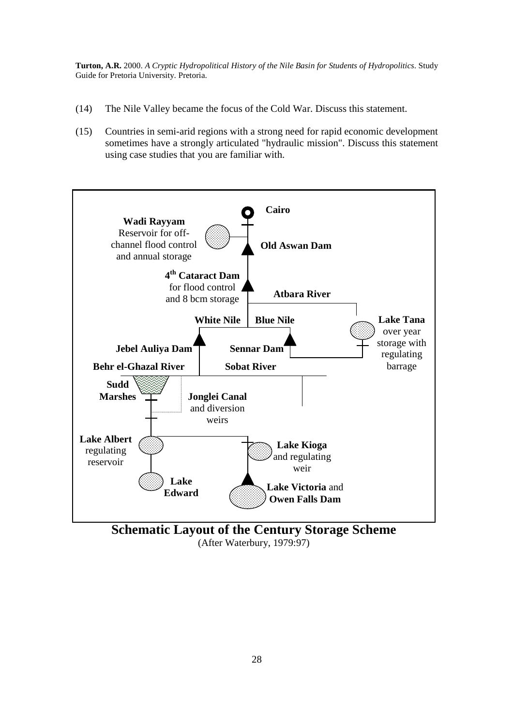- (14) The Nile Valley became the focus of the Cold War. Discuss this statement.
- (15) Countries in semi-arid regions with a strong need for rapid economic development sometimes have a strongly articulated "hydraulic mission". Discuss this statement using case studies that you are familiar with.



**Schematic Layout of the Century Storage Scheme**  (After Waterbury, 1979:97)